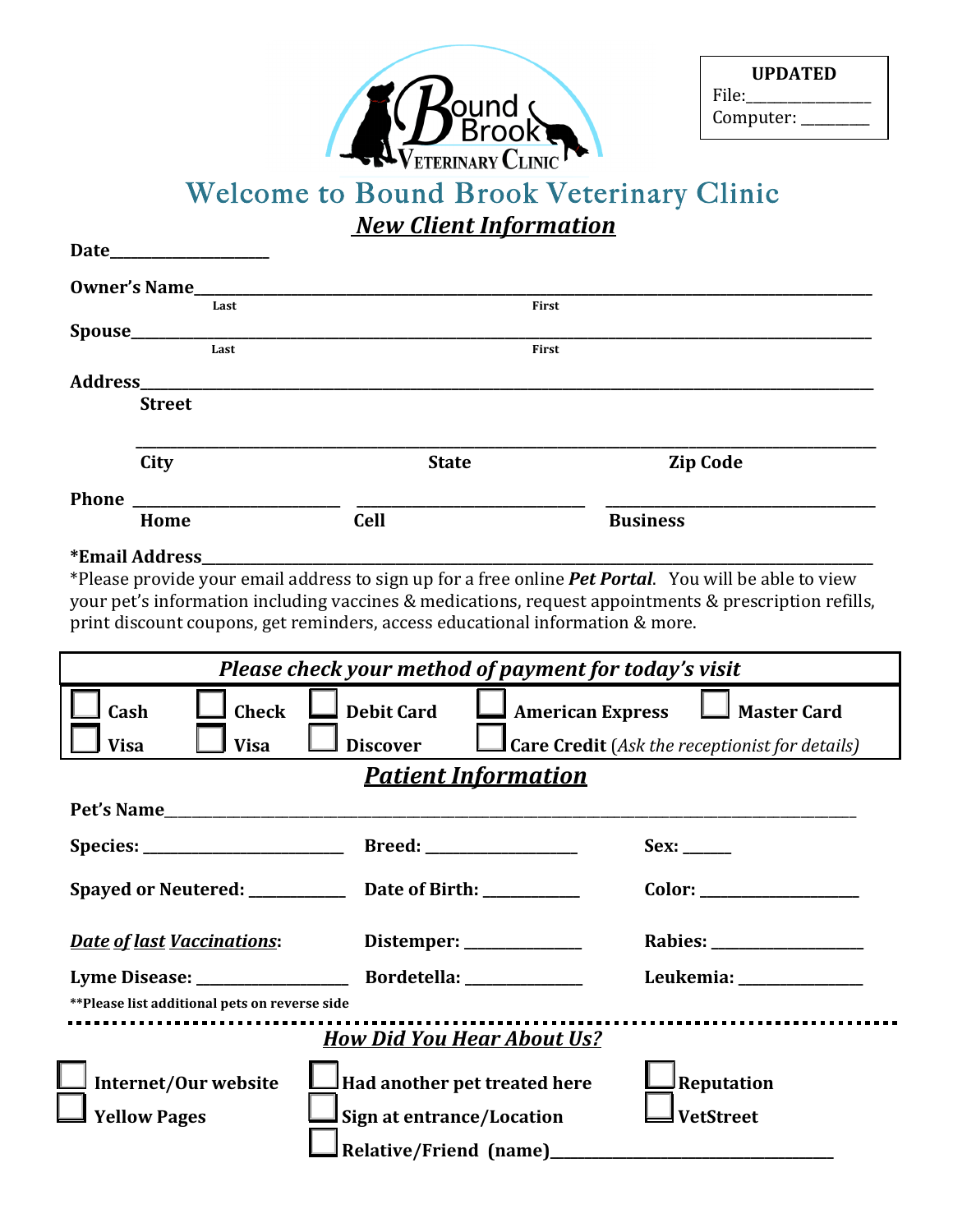

| <b>UPDATED</b> |  |  |  |
|----------------|--|--|--|
| File:          |  |  |  |
| Computer:      |  |  |  |

## Welcome to Bound Brook Veterinary Clinic **New Client Information**

| <b>Owner's Name____</b><br>Last               |                                                                                                                                                                                                                                | First                                                                                                        |  |
|-----------------------------------------------|--------------------------------------------------------------------------------------------------------------------------------------------------------------------------------------------------------------------------------|--------------------------------------------------------------------------------------------------------------|--|
|                                               |                                                                                                                                                                                                                                |                                                                                                              |  |
| Last                                          |                                                                                                                                                                                                                                | First                                                                                                        |  |
|                                               | Address and the contract of the contract of the contract of the contract of the contract of the contract of the contract of the contract of the contract of the contract of the contract of the contract of the contract of th |                                                                                                              |  |
| <b>Street</b>                                 |                                                                                                                                                                                                                                |                                                                                                              |  |
|                                               |                                                                                                                                                                                                                                |                                                                                                              |  |
| City                                          | <b>State</b>                                                                                                                                                                                                                   | <b>Zip Code</b>                                                                                              |  |
|                                               |                                                                                                                                                                                                                                |                                                                                                              |  |
| Home                                          | <b>Cell</b>                                                                                                                                                                                                                    | <b>Business</b>                                                                                              |  |
| *Email Address                                |                                                                                                                                                                                                                                |                                                                                                              |  |
|                                               |                                                                                                                                                                                                                                | *Please provide your email address to sign up for a free online <i>Pet Portal</i> . You will be able to view |  |
|                                               |                                                                                                                                                                                                                                | your pet's information including vaccines & medications, request appointments & prescription refills,        |  |
|                                               | print discount coupons, get reminders, access educational information & more.                                                                                                                                                  |                                                                                                              |  |
|                                               |                                                                                                                                                                                                                                |                                                                                                              |  |
|                                               | Please check your method of payment for today's visit                                                                                                                                                                          |                                                                                                              |  |
|                                               |                                                                                                                                                                                                                                |                                                                                                              |  |
| <b>Check</b><br>Cash                          | <b>Debit Card</b>                                                                                                                                                                                                              | <b>American Express</b><br><b>Master Card</b>                                                                |  |
| <b>Visa</b><br><b>Visa</b>                    | <b>Discover</b>                                                                                                                                                                                                                | <b>Sumber Credit</b> (Ask the receptionist for details)                                                      |  |
|                                               | <b>Patient Information</b>                                                                                                                                                                                                     |                                                                                                              |  |
|                                               | Pet's Name                                                                                                                                                                                                                     |                                                                                                              |  |
|                                               |                                                                                                                                                                                                                                |                                                                                                              |  |
|                                               |                                                                                                                                                                                                                                |                                                                                                              |  |
|                                               | Spayed or Neutered: _____________ Date of Birth: ___________                                                                                                                                                                   |                                                                                                              |  |
|                                               |                                                                                                                                                                                                                                |                                                                                                              |  |
| <u>Date of last Vaccinations:</u>             | Distemper: $\frac{1}{1}$                                                                                                                                                                                                       |                                                                                                              |  |
|                                               | Lyme Disease: Bordetella:                                                                                                                                                                                                      | Leukemia: ____________                                                                                       |  |
| **Please list additional pets on reverse side |                                                                                                                                                                                                                                |                                                                                                              |  |
|                                               | <b>How Did You Hear About Us?</b>                                                                                                                                                                                              |                                                                                                              |  |
|                                               |                                                                                                                                                                                                                                |                                                                                                              |  |
| Internet/Our website                          | Had another pet treated here                                                                                                                                                                                                   | Reputation                                                                                                   |  |
| <b>Yellow Pages</b>                           | Sign at entrance/Location                                                                                                                                                                                                      | <b>VetStreet</b>                                                                                             |  |
|                                               |                                                                                                                                                                                                                                |                                                                                                              |  |
|                                               | Relative/Friend (name)                                                                                                                                                                                                         |                                                                                                              |  |